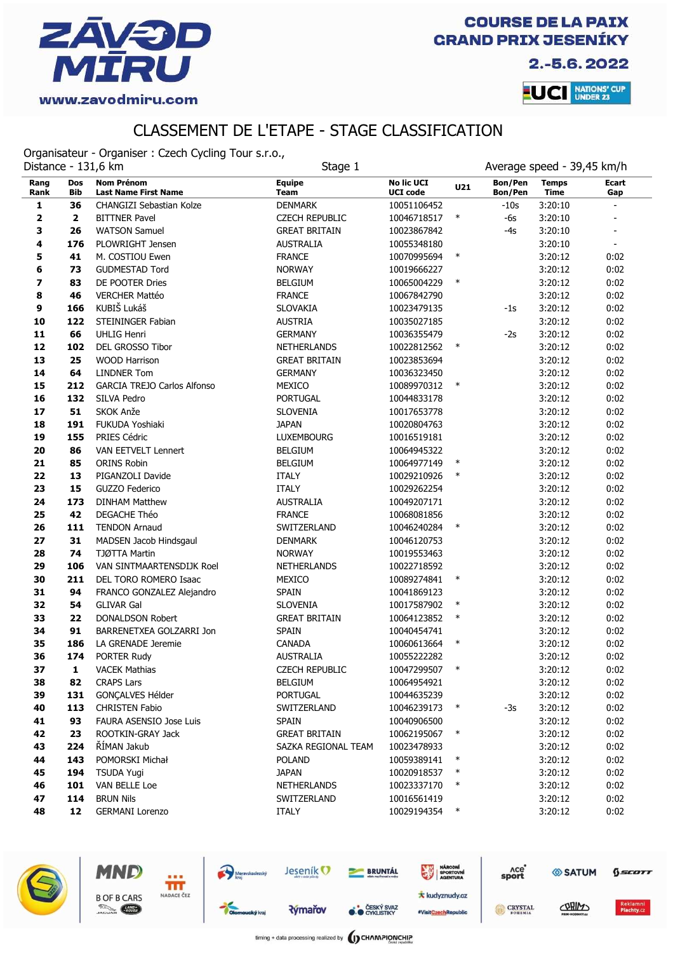

2.-5.6.2022

**LUCI** NATIONS' CUP

# CLASSEMENT DE L'ETAPE - STAGE CLASSIFICATION

Organisateur - Organiser : Czech Cycling Tour s.r.o.,

| Distance - 131,6 km<br>Stage 1 |                          | Average speed - 39,45 km/h                       |                              |                                      |        |                    |                             |                |
|--------------------------------|--------------------------|--------------------------------------------------|------------------------------|--------------------------------------|--------|--------------------|-----------------------------|----------------|
| Rang<br>Rank                   | <b>Dos</b><br><b>Bib</b> | <b>Nom Prénom</b><br><b>Last Name First Name</b> | <b>Equipe</b><br><b>Team</b> | <b>No lic UCI</b><br><b>UCI code</b> | U21    | Bon/Pen<br>Bon/Pen | <b>Temps</b><br><b>Time</b> | Ecart<br>Gap   |
| 1                              | 36                       | <b>CHANGIZI Sebastian Kolze</b>                  | <b>DENMARK</b>               | 10051106452                          |        | $-10s$             | 3:20:10                     |                |
| $\mathbf 2$                    | $\overline{\mathbf{2}}$  | <b>BITTNER Pavel</b>                             | <b>CZECH REPUBLIC</b>        | 10046718517                          | $\ast$ | -6s                | 3:20:10                     |                |
| 3                              | 26                       | <b>WATSON Samuel</b>                             | <b>GREAT BRITAIN</b>         | 10023867842                          |        | $-4s$              | 3:20:10                     |                |
| 4                              | 176                      | PLOWRIGHT Jensen                                 | <b>AUSTRALIA</b>             | 10055348180                          |        |                    | 3:20:10                     | $\blacksquare$ |
| 5                              | 41                       | M. COSTIOU Ewen                                  | <b>FRANCE</b>                | 10070995694                          | $\ast$ |                    | 3:20:12                     | 0:02           |
| 6                              | 73                       | <b>GUDMESTAD Tord</b>                            | <b>NORWAY</b>                | 10019666227                          |        |                    | 3:20:12                     | 0:02           |
| 7                              | 83                       | DE POOTER Dries                                  | <b>BELGIUM</b>               | 10065004229                          | $\ast$ |                    | 3:20:12                     | 0:02           |
| 8                              | 46                       | <b>VERCHER Mattéo</b>                            | <b>FRANCE</b>                | 10067842790                          |        |                    | 3:20:12                     | 0:02           |
| 9                              | 166                      | KUBIŠ Lukáš                                      | SLOVAKIA                     | 10023479135                          |        | -1s                | 3:20:12                     | 0:02           |
| 10                             | 122                      | <b>STEININGER Fabian</b>                         | <b>AUSTRIA</b>               | 10035027185                          |        |                    | 3:20:12                     | 0:02           |
| 11                             | 66                       | <b>UHLIG Henri</b>                               | <b>GERMANY</b>               | 10036355479                          |        | $-2s$              | 3:20:12                     | 0:02           |
| 12                             | 102                      | DEL GROSSO Tibor                                 | <b>NETHERLANDS</b>           | 10022812562                          | $\ast$ |                    | 3:20:12                     | 0:02           |
| 13                             | 25                       | <b>WOOD Harrison</b>                             | <b>GREAT BRITAIN</b>         | 10023853694                          |        |                    | 3:20:12                     | 0:02           |
| 14                             | 64                       | <b>LINDNER Tom</b>                               | <b>GERMANY</b>               | 10036323450                          |        |                    | 3:20:12                     | 0:02           |
| 15                             | 212                      | <b>GARCIA TREJO Carlos Alfonso</b>               | <b>MEXICO</b>                | 10089970312                          | $\ast$ |                    | 3:20:12                     | 0:02           |
| 16                             | 132                      | SILVA Pedro                                      | <b>PORTUGAL</b>              | 10044833178                          |        |                    | 3:20:12                     | 0:02           |
| 17                             | 51                       | SKOK Anže                                        | <b>SLOVENIA</b>              | 10017653778                          |        |                    | 3:20:12                     | 0:02           |
| 18                             | 191                      | FUKUDA Yoshiaki                                  | <b>JAPAN</b>                 | 10020804763                          |        |                    | 3:20:12                     | 0:02           |
| 19                             | 155                      | PRIES Cédric                                     | <b>LUXEMBOURG</b>            | 10016519181                          |        |                    | 3:20:12                     | 0:02           |
| 20                             | 86                       | VAN EETVELT Lennert                              | <b>BELGIUM</b>               | 10064945322                          |        |                    | 3:20:12                     | 0:02           |
| 21                             | 85                       | <b>ORINS Robin</b>                               | <b>BELGIUM</b>               | 10064977149                          | $\ast$ |                    | 3:20:12                     | 0:02           |
| 22                             | 13                       | PIGANZOLI Davide                                 | <b>ITALY</b>                 | 10029210926                          | $\ast$ |                    | 3:20:12                     | 0:02           |
| 23                             | 15                       | GUZZO Federico                                   | <b>ITALY</b>                 | 10029262254                          |        |                    | 3:20:12                     | 0:02           |
| 24                             | 173                      | <b>DINHAM Matthew</b>                            | <b>AUSTRALIA</b>             | 10049207171                          |        |                    | 3:20:12                     | 0:02           |
| 25                             | 42                       | DEGACHE Théo                                     | <b>FRANCE</b>                | 10068081856                          | $\ast$ |                    | 3:20:12                     | 0:02           |
| 26                             | 111                      | <b>TENDON Arnaud</b>                             | SWITZERLAND                  | 10046240284                          |        |                    | 3:20:12                     | 0:02           |
| 27<br>28                       | 31<br>74                 | MADSEN Jacob Hindsgaul                           | <b>DENMARK</b>               | 10046120753                          |        |                    | 3:20:12                     | 0:02           |
| 29                             | 106                      | TJØTTA Martin<br>VAN SINTMAARTENSDIJK Roel       | <b>NORWAY</b>                | 10019553463                          |        |                    | 3:20:12                     | 0:02           |
| 30                             | 211                      | DEL TORO ROMERO Isaac                            | <b>NETHERLANDS</b><br>MEXICO | 10022718592<br>10089274841           | $\ast$ |                    | 3:20:12<br>3:20:12          | 0:02<br>0:02   |
| 31                             | 94                       | FRANCO GONZALEZ Alejandro                        | <b>SPAIN</b>                 | 10041869123                          |        |                    | 3:20:12                     | 0:02           |
| 32                             | 54                       | <b>GLIVAR Gal</b>                                | <b>SLOVENIA</b>              | 10017587902                          | $\ast$ |                    | 3:20:12                     | 0:02           |
| 33                             | 22                       | <b>DONALDSON Robert</b>                          | <b>GREAT BRITAIN</b>         | 10064123852                          | $\ast$ |                    | 3:20:12                     | 0:02           |
| 34                             | 91                       | BARRENETXEA GOLZARRI Jon                         | <b>SPAIN</b>                 | 10040454741                          |        |                    | 3:20:12                     | 0:02           |
| 35                             | 186                      | LA GRENADE Jeremie                               | <b>CANADA</b>                | 10060613664                          | $\ast$ |                    | 3:20:12                     | 0:02           |
| 36                             | 174                      | PORTER Rudy                                      | <b>AUSTRALIA</b>             | 10055222282                          |        |                    | 3:20:12                     | 0:02           |
| 37                             | 1                        | <b>VACEK Mathias</b>                             | <b>CZECH REPUBLIC</b>        | 10047299507                          |        |                    | 3:20:12                     | 0:02           |
| 38                             | 82                       | <b>CRAPS Lars</b>                                | <b>BELGIUM</b>               | 10064954921                          |        |                    | 3:20:12                     | 0:02           |
| 39                             | 131                      | GONÇALVES Hélder                                 | PORTUGAL                     | 10044635239                          |        |                    | 3:20:12                     | 0:02           |
| 40                             | 113                      | <b>CHRISTEN Fabio</b>                            | SWITZERLAND                  | 10046239173                          | $\ast$ | $-3s$              | 3:20:12                     | 0:02           |
| 41                             | 93                       | FAURA ASENSIO Jose Luis                          | <b>SPAIN</b>                 | 10040906500                          |        |                    | 3:20:12                     | 0:02           |
| 42                             | 23                       | ROOTKIN-GRAY Jack                                | <b>GREAT BRITAIN</b>         | 10062195067                          | $\ast$ |                    | 3:20:12                     | 0:02           |
| 43                             | 224                      | ŘÍMAN Jakub                                      | SAZKA REGIONAL TEAM          | 10023478933                          |        |                    | 3:20:12                     | 0:02           |
| 44                             | 143                      | POMORSKI Michał                                  | <b>POLAND</b>                | 10059389141                          | $\ast$ |                    | 3:20:12                     | 0:02           |
| 45                             | 194                      | <b>TSUDA Yugi</b>                                | <b>JAPAN</b>                 | 10020918537                          | $\ast$ |                    | 3:20:12                     | 0:02           |
| 46                             | 101                      | VAN BELLE Loe                                    | <b>NETHERLANDS</b>           | 10023337170                          | $\ast$ |                    | 3:20:12                     | 0:02           |
| 47                             | 114                      | <b>BRUN Nils</b>                                 | SWITZERLAND                  | 10016561419                          |        |                    | 3:20:12                     | 0:02           |
| 48                             | 12                       | <b>GERMANI Lorenzo</b>                           | <b>ITALY</b>                 | 10029194354                          | $\ast$ |                    | 3:20:12                     | 0:02           |



MND

**B OF B CARS** 

**County** 

fff NADACE ČEZ

> **Rýmařov CESKÝ SVAZ**

Jeseník<sup>O</sup>

Moravskoslezský

**BRUNTÁL** 

Ace<sup>o</sup><br>sport

CRYSTAL

SATUM

CORIN

 $6$ sco $rr$ 

NÁRODNÍ<br>SPORTOVNÍ

**\*** kudyznudy.cz

#VisitCzechRepublic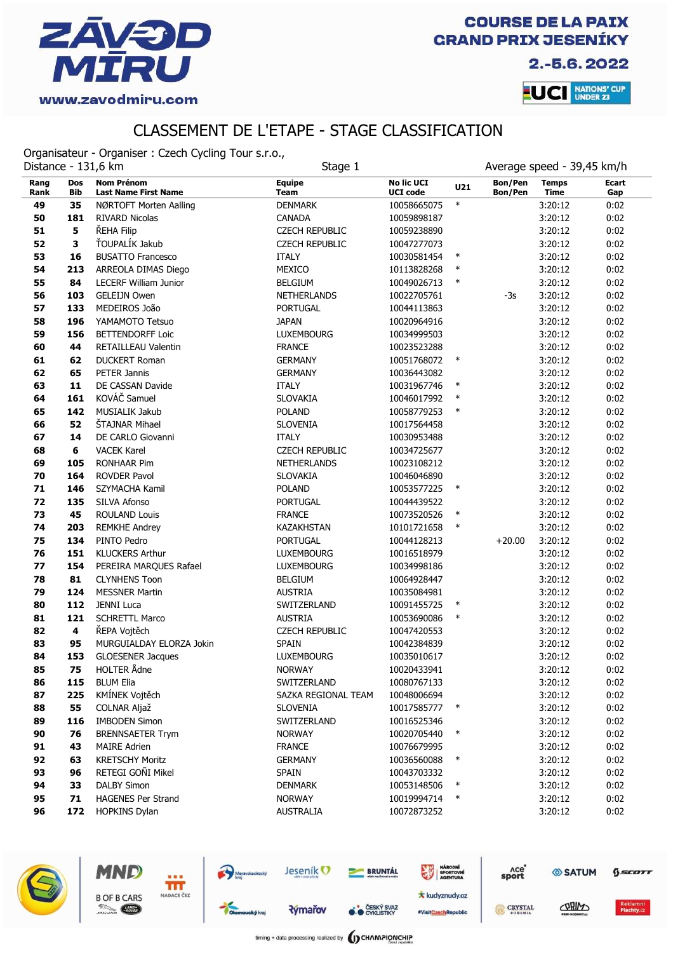

Ace<sup>o</sup><br>sport

CRYSTAL

SATUM

CORIMO

 $6$ scorr

2.-5.6.2022



### CLASSEMENT DE L'ETAPE - STAGE CLASSIFICATION

Organisateur - Organiser : Czech Cycling Tour s.r.o.,

|              |                   | Average speed - 39,45 km/h<br>Distance - 131,6 km<br>Stage 1 |                              |                                      |        |                           |                             |              |
|--------------|-------------------|--------------------------------------------------------------|------------------------------|--------------------------------------|--------|---------------------------|-----------------------------|--------------|
| Rang<br>Rank | <b>Dos</b><br>Bib | <b>Nom Prénom</b><br><b>Last Name First Name</b>             | <b>Equipe</b><br><b>Team</b> | <b>No lic UCI</b><br><b>UCI code</b> | U21    | Bon/Pen<br><b>Bon/Pen</b> | <b>Temps</b><br><b>Time</b> | Ecart<br>Gap |
| 49           | 35                | NØRTOFT Morten Aalling                                       | <b>DENMARK</b>               | 10058665075                          | $\ast$ |                           | 3:20:12                     | 0:02         |
| 50           | 181               | <b>RIVARD Nicolas</b>                                        | <b>CANADA</b>                | 10059898187                          |        |                           | 3:20:12                     | 0:02         |
| 51           | 5                 | ŘEHA Filip                                                   | <b>CZECH REPUBLIC</b>        | 10059238890                          |        |                           | 3:20:12                     | 0:02         |
| 52           | 3                 | ŤOUPALÍK Jakub                                               | <b>CZECH REPUBLIC</b>        | 10047277073                          |        |                           | 3:20:12                     | 0:02         |
| 53           | 16                | <b>BUSATTO Francesco</b>                                     | <b>ITALY</b>                 | 10030581454                          | $\ast$ |                           | 3:20:12                     | 0:02         |
| 54           | 213               | ARREOLA DIMAS Diego                                          | MEXICO                       | 10113828268                          | $\ast$ |                           | 3:20:12                     | 0:02         |
| 55           | 84                | <b>LECERF William Junior</b>                                 | <b>BELGIUM</b>               | 10049026713                          | $\ast$ |                           | 3:20:12                     | 0:02         |
| 56           | 103               | <b>GELEIJN Owen</b>                                          | <b>NETHERLANDS</b>           | 10022705761                          |        | $-3s$                     | 3:20:12                     | 0:02         |
| 57           | 133               | MEDEIROS João                                                | <b>PORTUGAL</b>              | 10044113863                          |        |                           | 3:20:12                     | 0:02         |
| 58           | 196               | YAMAMOTO Tetsuo                                              | <b>JAPAN</b>                 | 10020964916                          |        |                           | 3:20:12                     | 0:02         |
| 59           | 156               | <b>BETTENDORFF Loic</b>                                      | <b>LUXEMBOURG</b>            | 10034999503                          |        |                           | 3:20:12                     | 0:02         |
| 60           | 44                | RETAILLEAU Valentin                                          | <b>FRANCE</b>                | 10023523288                          |        |                           | 3:20:12                     | 0:02         |
| 61           | 62                | <b>DUCKERT Roman</b>                                         | <b>GERMANY</b>               | 10051768072                          | $\ast$ |                           | 3:20:12                     | 0:02         |
| 62           | 65                | PETER Jannis                                                 | <b>GERMANY</b>               | 10036443082                          |        |                           | 3:20:12                     | 0:02         |
| 63           | 11                | DE CASSAN Davide                                             | <b>ITALY</b>                 | 10031967746                          | $\ast$ |                           | 3:20:12                     | 0:02         |
| 64           | 161               | KOVÁČ Samuel                                                 | SLOVAKIA                     | 10046017992                          | $\ast$ |                           | 3:20:12                     | 0:02         |
| 65           | 142               | MUSIALIK Jakub                                               | <b>POLAND</b>                | 10058779253                          | $\ast$ |                           | 3:20:12                     | 0:02         |
| 66           | 52                | ŠTAJNAR Mihael                                               | <b>SLOVENIA</b>              | 10017564458                          |        |                           | 3:20:12                     | 0:02         |
| 67           | 14                | DE CARLO Giovanni                                            | <b>ITALY</b>                 | 10030953488                          |        |                           | 3:20:12                     | 0:02         |
| 68           | 6                 | <b>VACEK Karel</b>                                           | <b>CZECH REPUBLIC</b>        | 10034725677                          |        |                           | 3:20:12                     | 0:02         |
| 69           | 105               | <b>RONHAAR Pim</b>                                           | NETHERLANDS                  | 10023108212                          |        |                           | 3:20:12                     | 0:02         |
| 70           | 164               | <b>ROVDER Pavol</b>                                          | <b>SLOVAKIA</b>              | 10046046890                          |        |                           | 3:20:12                     | 0:02         |
| 71           | 146               | SZYMACHA Kamil                                               | <b>POLAND</b>                | 10053577225                          | $\ast$ |                           | 3:20:12                     | 0:02         |
| 72           | 135               | SILVA Afonso                                                 | <b>PORTUGAL</b>              | 10044439522                          |        |                           | 3:20:12                     | 0:02         |
| 73           | 45                | <b>ROULAND Louis</b>                                         | <b>FRANCE</b>                | 10073520526                          | $\ast$ |                           | 3:20:12                     | 0:02         |
| 74           | 203               | <b>REMKHE Andrey</b>                                         | KAZAKHSTAN                   | 10101721658                          | $\ast$ |                           | 3:20:12                     | 0:02         |
| 75           | 134               | PINTO Pedro                                                  | <b>PORTUGAL</b>              | 10044128213                          |        | $+20.00$                  | 3:20:12                     | 0:02         |
| 76           | 151               | <b>KLUCKERS Arthur</b>                                       | <b>LUXEMBOURG</b>            | 10016518979                          |        |                           | 3:20:12                     | 0:02         |
| 77           | 154               | PEREIRA MARQUES Rafael                                       | <b>LUXEMBOURG</b>            | 10034998186                          |        |                           | 3:20:12                     | 0:02         |
| 78           | 81                | <b>CLYNHENS Toon</b>                                         | <b>BELGIUM</b>               | 10064928447                          |        |                           | 3:20:12                     | 0:02         |
| 79           | 124               | <b>MESSNER Martin</b>                                        | <b>AUSTRIA</b>               | 10035084981                          |        |                           | 3:20:12                     | 0:02         |
| 80           | 112               | <b>JENNI Luca</b>                                            | SWITZERLAND                  | 10091455725                          | $\ast$ |                           | 3:20:12                     | 0:02         |
| 81           | 121               | <b>SCHRETTL Marco</b>                                        | <b>AUSTRIA</b>               | 10053690086                          | $\ast$ |                           | 3:20:12                     | 0:02         |
| 82           | 4                 | ŘEPA Vojtěch                                                 | <b>CZECH REPUBLIC</b>        | 10047420553                          |        |                           | 3:20:12                     | 0:02         |
| 83           | 95                | MURGUIALDAY ELORZA Jokin                                     | <b>SPAIN</b>                 | 10042384839                          |        |                           | 3:20:12                     | 0:02         |
| 84           | 153               | <b>GLOESENER Jacques</b>                                     | <b>LUXEMBOURG</b>            | 10035010617                          |        |                           | 3:20:12                     | 0:02         |
| 85           | 75                | <b>HOLTER Ådne</b>                                           | <b>NORWAY</b>                | 10020433941                          |        |                           | 3:20:12                     | 0:02         |
| 86           | 115               | <b>BLUM Elia</b>                                             | SWITZERLAND                  | 10080767133                          |        |                           | 3:20:12                     | 0:02         |
| 87           | 225               | KMÍNEK Vojtěch                                               | SAZKA REGIONAL TEAM          | 10048006694                          |        |                           | 3:20:12                     | 0:02         |
| 88           | 55                | COLNAR Aljaž                                                 | <b>SLOVENIA</b>              | 10017585777                          | $\ast$ |                           | 3:20:12                     | 0:02         |
| 89           | 116               | <b>IMBODEN Simon</b>                                         | SWITZERLAND                  | 10016525346                          |        |                           | 3:20:12                     | 0:02         |
| 90           | 76                | <b>BRENNSAETER Trym</b>                                      | <b>NORWAY</b>                | 10020705440                          | $\ast$ |                           | 3:20:12                     | 0:02         |
| 91           | 43                | <b>MAIRE Adrien</b>                                          | <b>FRANCE</b>                | 10076679995                          |        |                           | 3:20:12                     | 0:02         |
| 92           | 63                | <b>KRETSCHY Moritz</b>                                       | <b>GERMANY</b>               | 10036560088                          | $\ast$ |                           | 3:20:12                     | 0:02         |
| 93           | 96                | RETEGI GOÑI Mikel                                            | <b>SPAIN</b>                 | 10043703332                          |        |                           | 3:20:12                     | 0:02         |
| 94           | 33                | <b>DALBY Simon</b>                                           | <b>DENMARK</b>               | 10053148506                          | $\ast$ |                           | 3:20:12                     | 0:02         |
| 95           | 71                | <b>HAGENES Per Strand</b>                                    | <b>NORWAY</b>                | 10019994714                          | $\ast$ |                           | 3:20:12                     | 0:02         |
| 96           | 172               | <b>HOPKINS Dylan</b>                                         | <b>AUSTRALIA</b>             | 10072873252                          |        |                           | 3:20:12                     | 0:02         |



MND

**B OF B CARS** 

**County** 

fff NADACE ČEZ **BRUNTÁL** 

**O ČESKÝ SVAZ** 

NÁRODNÍ<br>SPORTOVNÍ

**\*** kudyznudy.cz

#VisitCzechRepublic

Jeseník<sup>O</sup>

**Rýmařov** 

Moravskoslezský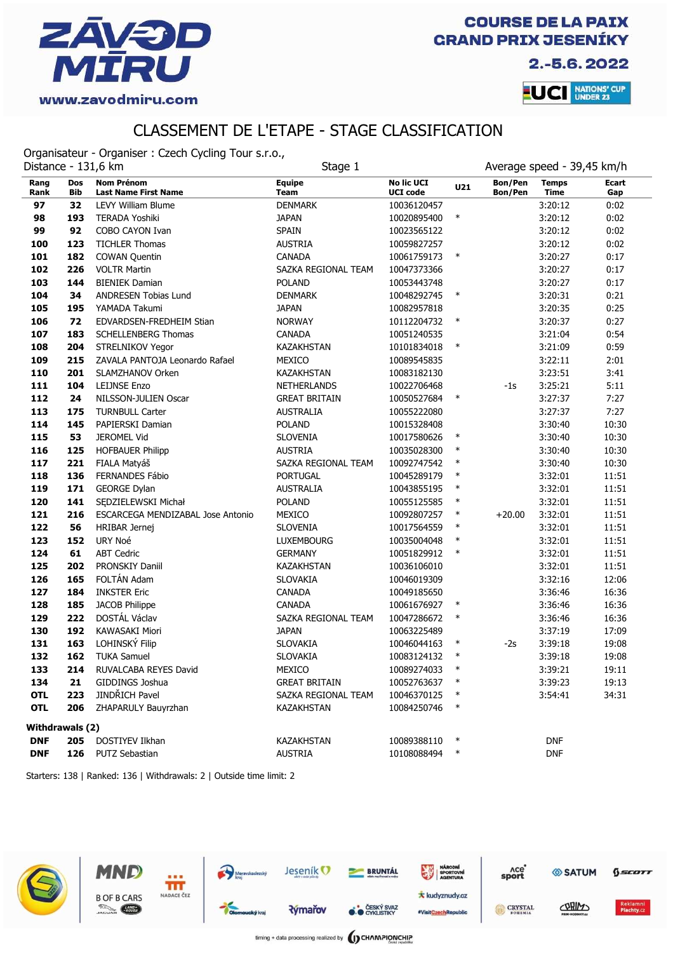

2.-5.6.2022



### CLASSEMENT DE L'ETAPE - STAGE CLASSIFICATION

Organisateur - Organiser : Czech Cycling Tour s.r.o.,

|                        | Average speed - 39,45 km/h<br>Distance - 131,6 km<br>Stage 1 |                                                  |                              |                                      |        |                           |                             |              |
|------------------------|--------------------------------------------------------------|--------------------------------------------------|------------------------------|--------------------------------------|--------|---------------------------|-----------------------------|--------------|
| Rang<br>Rank           | <b>Dos</b><br>Bib                                            | <b>Nom Prénom</b><br><b>Last Name First Name</b> | <b>Equipe</b><br><b>Team</b> | <b>No lic UCI</b><br><b>UCI code</b> | U21    | Bon/Pen<br><b>Bon/Pen</b> | <b>Temps</b><br><b>Time</b> | Ecart<br>Gap |
| 97                     | 32                                                           | <b>LEVY William Blume</b>                        | <b>DENMARK</b>               | 10036120457                          |        |                           | 3:20:12                     | 0:02         |
| 98                     | 193                                                          | <b>TERADA Yoshiki</b>                            | <b>JAPAN</b>                 | 10020895400                          | $\ast$ |                           | 3:20:12                     | 0:02         |
| 99                     | 92                                                           | COBO CAYON Ivan                                  | <b>SPAIN</b>                 | 10023565122                          |        |                           | 3:20:12                     | 0:02         |
| 100                    | 123                                                          | <b>TICHLER Thomas</b>                            | <b>AUSTRIA</b>               | 10059827257                          |        |                           | 3:20:12                     | 0:02         |
| 101                    | 182                                                          | <b>COWAN Quentin</b>                             | <b>CANADA</b>                | 10061759173                          | $\ast$ |                           | 3:20:27                     | 0:17         |
| 102                    | 226                                                          | <b>VOLTR Martin</b>                              | SAZKA REGIONAL TEAM          | 10047373366                          |        |                           | 3:20:27                     | 0:17         |
| 103                    | 144                                                          | <b>BIENIEK Damian</b>                            | <b>POLAND</b>                | 10053443748                          |        |                           | 3:20:27                     | 0:17         |
| 104                    | 34                                                           | ANDRESEN Tobias Lund                             | <b>DENMARK</b>               | 10048292745                          | $\ast$ |                           | 3:20:31                     | 0:21         |
| 105                    | 195                                                          | YAMADA Takumi                                    | <b>JAPAN</b>                 | 10082957818                          |        |                           | 3:20:35                     | 0:25         |
| 106                    | 72                                                           | EDVARDSEN-FREDHEIM Stian                         | <b>NORWAY</b>                | 10112204732                          | $\ast$ |                           | 3:20:37                     | 0:27         |
| 107                    | 183                                                          | <b>SCHELLENBERG Thomas</b>                       | <b>CANADA</b>                | 10051240535                          |        |                           | 3:21:04                     | 0:54         |
| 108                    | 204                                                          | STRELNIKOV Yegor                                 | KAZAKHSTAN                   | 10101834018                          | $\ast$ |                           | 3:21:09                     | 0:59         |
| 109                    | 215                                                          | ZAVALA PANTOJA Leonardo Rafael                   | MEXICO                       | 10089545835                          |        |                           | 3:22:11                     | 2:01         |
| 110                    | 201                                                          | SLAMZHANOV Orken                                 | KAZAKHSTAN                   | 10083182130                          |        |                           | 3:23:51                     | 3:41         |
| 111                    | 104                                                          | <b>LEIJNSE Enzo</b>                              | NETHERLANDS                  | 10022706468                          |        | $-1s$                     | 3:25:21                     | 5:11         |
| 112                    | 24                                                           | NILSSON-JULIEN Oscar                             | <b>GREAT BRITAIN</b>         | 10050527684                          | $\ast$ |                           | 3:27:37                     | 7:27         |
| 113                    | 175                                                          | <b>TURNBULL Carter</b>                           | <b>AUSTRALIA</b>             | 10055222080                          |        |                           | 3:27:37                     | 7:27         |
| 114                    | 145                                                          | PAPIERSKI Damian                                 | <b>POLAND</b>                | 10015328408                          |        |                           | 3:30:40                     | 10:30        |
| 115                    | 53                                                           | <b>JEROMEL Vid</b>                               | SLOVENIA                     | 10017580626                          | $\ast$ |                           | 3:30:40                     | 10:30        |
| 116                    | 125                                                          | <b>HOFBAUER Philipp</b>                          | <b>AUSTRIA</b>               | 10035028300                          | $\ast$ |                           | 3:30:40                     | 10:30        |
| 117                    | 221                                                          | FIALA Matyáš                                     | SAZKA REGIONAL TEAM          | 10092747542                          | $\ast$ |                           | 3:30:40                     | 10:30        |
| 118                    | 136                                                          | FERNANDES Fábio                                  | <b>PORTUGAL</b>              | 10045289179                          | $\ast$ |                           | 3:32:01                     | 11:51        |
| 119                    | 171                                                          | <b>GEORGE Dylan</b>                              | <b>AUSTRALIA</b>             | 10043855195                          | $\ast$ |                           | 3:32:01                     | 11:51        |
| 120                    | 141                                                          | SEDZIELEWSKI Michał                              | <b>POLAND</b>                | 10055125585                          | $\ast$ |                           | 3:32:01                     | 11:51        |
| 121                    | 216                                                          | ESCARCEGA MENDIZABAL Jose Antonio                | MEXICO                       | 10092807257                          | $\ast$ | $+20.00$                  | 3:32:01                     | 11:51        |
| 122                    | 56                                                           | HRIBAR Jernej                                    | <b>SLOVENIA</b>              | 10017564559                          | $\ast$ |                           | 3:32:01                     | 11:51        |
| 123                    | 152                                                          | URY Noé                                          | <b>LUXEMBOURG</b>            | 10035004048                          | $\ast$ |                           | 3:32:01                     | 11:51        |
| 124                    | 61                                                           | <b>ABT Cedric</b>                                | <b>GERMANY</b>               | 10051829912                          | $\ast$ |                           | 3:32:01                     | 11:51        |
| 125                    | 202                                                          | PRONSKIY Daniil                                  | <b>KAZAKHSTAN</b>            | 10036106010                          |        |                           | 3:32:01                     | 11:51        |
| 126                    | 165                                                          | FOLTÁN Adam                                      | SLOVAKIA                     | 10046019309                          |        |                           | 3:32:16                     | 12:06        |
| 127                    | 184                                                          | <b>INKSTER Eric</b>                              | <b>CANADA</b>                | 10049185650                          |        |                           | 3:36:46                     | 16:36        |
| 128                    | 185                                                          | JACOB Philippe                                   | <b>CANADA</b>                | 10061676927                          | $\ast$ |                           | 3:36:46                     | 16:36        |
| 129                    | 222                                                          | DOSTÁL Václav                                    | SAZKA REGIONAL TEAM          | 10047286672                          | $\ast$ |                           | 3:36:46                     | 16:36        |
| 130                    | 192                                                          | KAWASAKI Miori                                   | <b>JAPAN</b>                 | 10063225489                          |        |                           | 3:37:19                     | 17:09        |
| 131                    | 163                                                          | LOHINSKÝ Filip                                   | SLOVAKIA                     | 10046044163                          | $\ast$ | $-2s$                     | 3:39:18                     | 19:08        |
| 132                    | 162                                                          | <b>TUKA Samuel</b>                               | <b>SLOVAKIA</b>              | 10083124132                          | $\ast$ |                           | 3:39:18                     | 19:08        |
| 133                    | 214                                                          | RUVALCABA REYES David                            | MEXICO                       | 10089274033                          | $\ast$ |                           | 3:39:21                     | 19:11        |
| 134                    | 21                                                           | GIDDINGS Joshua                                  | <b>GREAT BRITAIN</b>         | 10052763637                          | $\ast$ |                           | 3:39:23                     | 19:13        |
| <b>OTL</b>             | 223                                                          | JINDŘICH Pavel                                   | SAZKA REGIONAL TEAM          | 10046370125                          | $\ast$ |                           | 3:54:41                     | 34:31        |
| <b>OTL</b>             | 206                                                          | ZHAPARULY Bauyrzhan                              | KAZAKHSTAN                   | 10084250746                          | $\ast$ |                           |                             |              |
| <b>Withdrawals (2)</b> |                                                              |                                                  |                              |                                      |        |                           |                             |              |
| <b>DNF</b>             | 205                                                          | DOSTIYEV Ilkhan                                  | KAZAKHSTAN                   | 10089388110                          | $\ast$ |                           | <b>DNF</b>                  |              |
| <b>DNF</b>             |                                                              | 126 PUTZ Sebastian                               | <b>AUSTRIA</b>               | 10108088494                          | $\ast$ |                           | <b>DNF</b>                  |              |

Starters: 138 | Ranked: 136 | Withdrawals: 2 | Outside time limit: 2

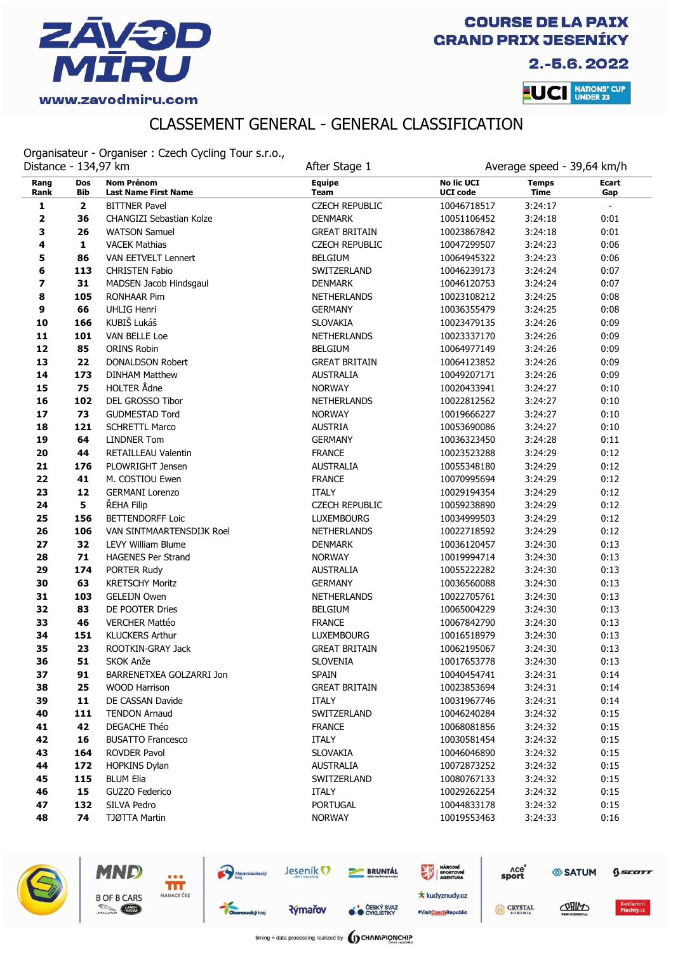

2.-5.6.2022

**LUCI** NATIONS' CUP

# CLASSEMENT GENERAL - GENERAL CLASSIFICATION

Organisateur - Organiser : Czech Cycling Tour s.r.o.,

|              | Distance - 134,97 km |                                                  | After Stage 1                | Average speed - 39,64 km/h           |                             |              |
|--------------|----------------------|--------------------------------------------------|------------------------------|--------------------------------------|-----------------------------|--------------|
| Rang<br>Rank | <b>Dos</b><br>Bib    | <b>Nom Prénom</b><br><b>Last Name First Name</b> | <b>Equipe</b><br><b>Team</b> | <b>No lic UCI</b><br><b>UCI code</b> | <b>Temps</b><br><b>Time</b> | Ecart<br>Gap |
| 1            | $\mathbf{2}$         | <b>BITTNER Pavel</b>                             | <b>CZECH REPUBLIC</b>        | 10046718517                          | 3:24:17                     | $\equiv$     |
| 2            | 36                   | CHANGIZI Sebastian Kolze                         | <b>DENMARK</b>               | 10051106452                          | 3:24:18                     | 0:01         |
| 3            | 26                   | <b>WATSON Samuel</b>                             | <b>GREAT BRITAIN</b>         | 10023867842                          | 3:24:18                     | 0:01         |
| 4            | $\mathbf{1}$         | <b>VACEK Mathias</b>                             | <b>CZECH REPUBLIC</b>        | 10047299507                          | 3:24:23                     | 0:06         |
| 5            | 86                   | VAN EETVELT Lennert                              | <b>BELGIUM</b>               | 10064945322                          | 3:24:23                     | 0:06         |
| 6            | 113                  | <b>CHRISTEN Fabio</b>                            | SWITZERLAND                  | 10046239173                          | 3:24:24                     | 0:07         |
| 7            | 31                   | MADSEN Jacob Hindsgaul                           | <b>DENMARK</b>               | 10046120753                          | 3:24:24                     | 0:07         |
| 8            | 105                  | <b>RONHAAR Pim</b>                               | <b>NETHERLANDS</b>           | 10023108212                          | 3:24:25                     | 0:08         |
| 9            | 66                   | <b>UHLIG Henri</b>                               | <b>GERMANY</b>               | 10036355479                          | 3:24:25                     | 0:08         |
| 10           | 166                  | KUBIŠ Lukáš                                      | <b>SLOVAKIA</b>              | 10023479135                          | 3:24:26                     | 0:09         |
| 11           | 101                  | VAN BELLE Loe                                    | <b>NETHERLANDS</b>           | 10023337170                          | 3:24:26                     | 0:09         |
| 12           | 85                   | <b>ORINS Robin</b>                               | <b>BELGIUM</b>               | 10064977149                          | 3:24:26                     | 0:09         |
| 13           | 22                   | <b>DONALDSON Robert</b>                          | <b>GREAT BRITAIN</b>         | 10064123852                          | 3:24:26                     | 0:09         |
| 14           | 173                  | <b>DINHAM Matthew</b>                            | <b>AUSTRALIA</b>             | 10049207171                          | 3:24:26                     | 0:09         |
| 15           | 75                   | <b>HOLTER Ådne</b>                               | <b>NORWAY</b>                | 10020433941                          | 3:24:27                     | 0:10         |
| 16           | 102                  | DEL GROSSO Tibor                                 | <b>NETHERLANDS</b>           | 10022812562                          | 3:24:27                     | 0:10         |
| 17           | 73                   | <b>GUDMESTAD Tord</b>                            | <b>NORWAY</b>                | 10019666227                          | 3:24:27                     | 0:10         |
| 18           | 121                  | <b>SCHRETTL Marco</b>                            | <b>AUSTRIA</b>               | 10053690086                          | 3:24:27                     | 0:10         |
| 19           | 64                   | <b>LINDNER Tom</b>                               | <b>GERMANY</b>               | 10036323450                          | 3:24:28                     | 0:11         |
| 20           | 44                   | RETAILLEAU Valentin                              | <b>FRANCE</b>                | 10023523288                          | 3:24:29                     | 0:12         |
| 21           | 176                  | PLOWRIGHT Jensen                                 | <b>AUSTRALIA</b>             | 10055348180                          | 3:24:29                     | 0:12         |
| 22           | 41                   | M. COSTIOU Ewen                                  | <b>FRANCE</b>                | 10070995694                          | 3:24:29                     | 0:12         |
| 23           | 12                   | <b>GERMANI Lorenzo</b>                           | <b>ITALY</b>                 | 10029194354                          | 3:24:29                     | 0:12         |
| 24           | 5                    | ŘEHA Filip                                       | <b>CZECH REPUBLIC</b>        | 10059238890                          | 3:24:29                     | 0:12         |
| 25           | 156                  | <b>BETTENDORFF Loic</b>                          | <b>LUXEMBOURG</b>            | 10034999503                          | 3:24:29                     | 0:12         |
| 26           | 106                  | VAN SINTMAARTENSDIJK Roel                        | <b>NETHERLANDS</b>           | 10022718592                          | 3:24:29                     | 0:12         |
| 27           | 32                   | <b>LEVY William Blume</b>                        | <b>DENMARK</b>               | 10036120457                          | 3:24:30                     | 0:13         |
| 28           | 71                   | <b>HAGENES Per Strand</b>                        | <b>NORWAY</b>                | 10019994714                          | 3:24:30                     | 0:13         |
| 29           | 174                  | PORTER Rudy                                      | <b>AUSTRALIA</b>             | 10055222282                          | 3:24:30                     | 0:13         |
| 30           | 63                   | <b>KRETSCHY Moritz</b>                           | <b>GERMANY</b>               | 10036560088                          | 3:24:30                     | 0:13         |
| 31           | 103                  | <b>GELEIJN Owen</b>                              | NETHERLANDS                  | 10022705761                          | 3:24:30                     | 0:13         |
| 32           | 83                   | DE POOTER Dries                                  | <b>BELGIUM</b>               | 10065004229                          | 3:24:30                     | 0:13         |
| 33           | 46                   | <b>VERCHER Mattéo</b>                            | <b>FRANCE</b>                | 10067842790                          | 3:24:30                     | 0:13         |
| 34           | 151                  | <b>KLUCKERS Arthur</b>                           | <b>LUXEMBOURG</b>            | 10016518979                          | 3:24:30                     | 0:13         |
| 35           | 23                   | ROOTKIN-GRAY Jack                                | <b>GREAT BRITAIN</b>         | 10062195067                          | 3:24:30                     | 0:13         |
| 36           | 51                   | SKOK Anže                                        | SLOVENIA                     | 10017653778                          | 3:24:30                     | 0:13         |
| 37           | 91                   | BARRENETXEA GOLZARRI Jon                         | <b>SPAIN</b>                 | 10040454741                          | 3:24:31                     | 0:14         |
| 38           | 25                   | <b>WOOD Harrison</b>                             | <b>GREAT BRITAIN</b>         | 10023853694                          | 3:24:31                     | 0:14         |
| 39           | 11                   | DE CASSAN Davide                                 | <b>ITALY</b>                 | 10031967746                          | 3:24:31                     | 0:14         |
| 40           | 111                  | <b>TENDON Arnaud</b>                             | SWITZERLAND                  | 10046240284                          | 3:24:32                     | 0:15         |
| 41           | 42                   | DEGACHE Théo                                     | <b>FRANCE</b>                | 10068081856                          | 3:24:32                     | 0:15         |
| 42           | 16                   | <b>BUSATTO Francesco</b>                         | ITALY                        | 10030581454                          | 3:24:32                     | 0:15         |
| 43           | 164                  | ROVDER Pavol                                     | <b>SLOVAKIA</b>              | 10046046890                          | 3:24:32                     | 0:15         |
| 44           | 172                  | <b>HOPKINS Dylan</b>                             | <b>AUSTRALIA</b>             | 10072873252                          | 3:24:32                     | 0:15         |
| 45           | 115                  | <b>BLUM Elia</b>                                 | SWITZERLAND                  | 10080767133                          | 3:24:32                     | 0:15         |
| 46           | 15                   | GUZZO Federico                                   | <b>ITALY</b>                 | 10029262254                          | 3:24:32                     | 0:15         |
| 47           | 132                  | SILVA Pedro                                      | <b>PORTUGAL</b>              | 10044833178                          | 3:24:32                     | 0:15         |
| 48           | 74                   | TJØTTA Martin                                    | <b>NORWAY</b>                | 10019553463                          | 3:24:33                     | 0:16         |



Ħř NADACE ČEZ

MND

**B OF B CARS** 

**County** 

Jeseník<sup>O</sup> Moravskoslezský



**O ČESKÝ SVAZ** 

NÁRODNÍ<br>SPORTOVNÍ **\*** kudyznudy.cz

#VisitCzechRepublic

6

| <b>Ace</b><br>sport |                                             | $0$ <i>scor</i> |
|---------------------|---------------------------------------------|-----------------|
| <b>CRYSTAL</b>      | CORINS                                      | <b>Reklamn</b>  |
| <b>ROBEMIA</b>      | <b>BURGHAM - AN ID ID IN ANTIAC - - - -</b> | Plachty.c       |

÷

**Rýmařov**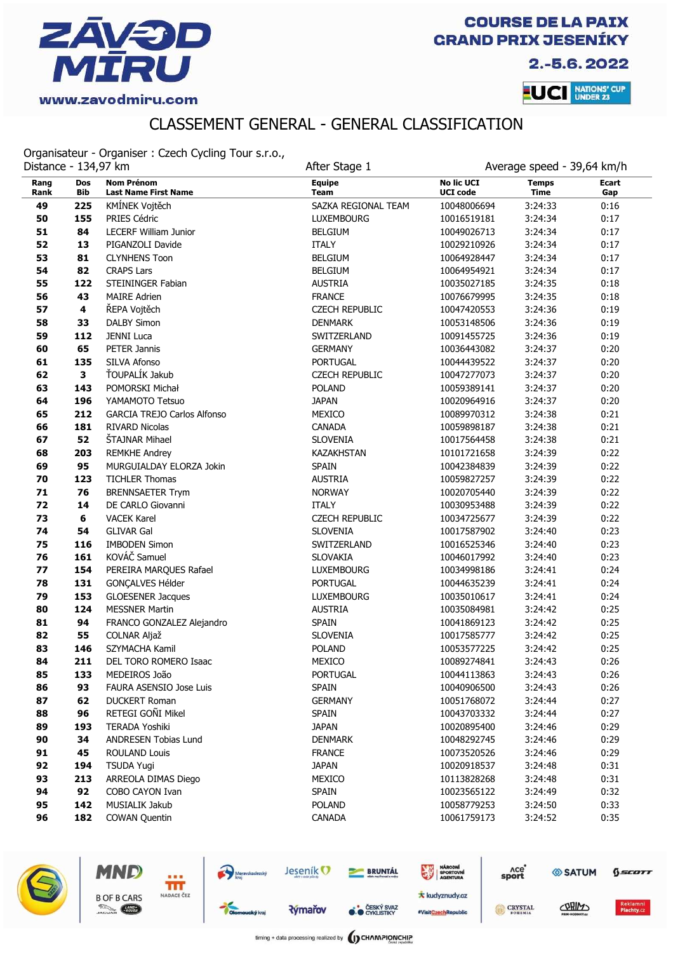

2.-5.6.2022

**LUCI** NATIONS' CUP

# CLASSEMENT GENERAL - GENERAL CLASSIFICATION

Organisateur - Organiser : Czech Cycling Tour s.r.o.,

| Distance - 134,97 km |                         | organisatedi - Organiser . Czech cycling Tour S.R.O., | After Stage 1                |                                      | Average speed - 39,64 km/h  |              |
|----------------------|-------------------------|-------------------------------------------------------|------------------------------|--------------------------------------|-----------------------------|--------------|
| Rang<br>Rank         | Dos<br>Bib              | <b>Nom Prénom</b><br><b>Last Name First Name</b>      | <b>Equipe</b><br><b>Team</b> | <b>No lic UCI</b><br><b>UCI</b> code | <b>Temps</b><br><b>Time</b> | Ecart<br>Gap |
| 49                   | 225                     | KMÍNEK Vojtěch                                        | SAZKA REGIONAL TEAM          | 10048006694                          | 3:24:33                     | 0:16         |
| 50                   | 155                     | PRIES Cédric                                          | <b>LUXEMBOURG</b>            | 10016519181                          | 3:24:34                     | 0:17         |
| 51                   | 84                      | <b>LECERF William Junior</b>                          | <b>BELGIUM</b>               | 10049026713                          | 3:24:34                     | 0:17         |
| 52                   | 13                      | PIGANZOLI Davide                                      | <b>ITALY</b>                 | 10029210926                          | 3:24:34                     | 0:17         |
| 53                   | 81                      | <b>CLYNHENS Toon</b>                                  | <b>BELGIUM</b>               | 10064928447                          | 3:24:34                     | 0:17         |
| 54                   | 82                      | <b>CRAPS Lars</b>                                     | <b>BELGIUM</b>               | 10064954921                          | 3:24:34                     | 0:17         |
| 55                   | 122                     | STEININGER Fabian                                     | <b>AUSTRIA</b>               | 10035027185                          | 3:24:35                     | 0:18         |
| 56                   | 43                      | <b>MAIRE Adrien</b>                                   | <b>FRANCE</b>                | 10076679995                          | 3:24:35                     | 0:18         |
| 57                   | $\overline{\mathbf{4}}$ | ŘEPA Vojtěch                                          | <b>CZECH REPUBLIC</b>        | 10047420553                          | 3:24:36                     | 0:19         |
| 58                   | 33                      | <b>DALBY Simon</b>                                    | <b>DENMARK</b>               | 10053148506                          | 3:24:36                     | 0:19         |
| 59                   | 112                     | <b>JENNI Luca</b>                                     | SWITZERLAND                  | 10091455725                          | 3:24:36                     | 0:19         |
| 60                   | 65                      | PETER Jannis                                          | <b>GERMANY</b>               | 10036443082                          | 3:24:37                     | 0:20         |
| 61                   | 135                     | SILVA Afonso                                          | <b>PORTUGAL</b>              | 10044439522                          | 3:24:37                     | 0:20         |
| 62                   | 3                       | ŤOUPALÍK Jakub                                        | <b>CZECH REPUBLIC</b>        | 10047277073                          | 3:24:37                     | 0:20         |
| 63                   | 143                     | POMORSKI Michał                                       | <b>POLAND</b>                | 10059389141                          | 3:24:37                     | 0:20         |
| 64                   | 196                     | YAMAMOTO Tetsuo                                       | <b>JAPAN</b>                 | 10020964916                          | 3:24:37                     | 0:20         |
| 65                   | 212                     | <b>GARCIA TREJO Carlos Alfonso</b>                    | MEXICO                       | 10089970312                          | 3:24:38                     | 0:21         |
| 66                   | 181                     | <b>RIVARD Nicolas</b>                                 | <b>CANADA</b>                | 10059898187                          | 3:24:38                     | 0:21         |
| 67                   | 52                      | ŠTAJNAR Mihael                                        | <b>SLOVENIA</b>              | 10017564458                          | 3:24:38                     | 0:21         |
| 68                   | 203                     | <b>REMKHE Andrey</b>                                  | <b>KAZAKHSTAN</b>            | 10101721658                          | 3:24:39                     | 0:22         |
| 69                   | 95                      | MURGUIALDAY ELORZA Jokin                              | <b>SPAIN</b>                 | 10042384839                          | 3:24:39                     | 0:22         |
| 70                   | 123                     | <b>TICHLER Thomas</b>                                 | <b>AUSTRIA</b>               | 10059827257                          | 3:24:39                     | 0:22         |
| 71                   | 76                      | <b>BRENNSAETER Trym</b>                               | <b>NORWAY</b>                | 10020705440                          | 3:24:39                     | 0:22         |
| 72                   | 14                      | DE CARLO Giovanni                                     | <b>ITALY</b>                 | 10030953488                          | 3:24:39                     | 0:22         |
| 73                   | 6                       | <b>VACEK Karel</b>                                    | <b>CZECH REPUBLIC</b>        | 10034725677                          | 3:24:39                     | 0:22         |
| 74                   | 54                      | <b>GLIVAR Gal</b>                                     | <b>SLOVENIA</b>              | 10017587902                          | 3:24:40                     | 0:23         |
| 75                   | 116                     | <b>IMBODEN Simon</b>                                  | SWITZERLAND                  | 10016525346                          | 3:24:40                     | 0:23         |
| 76                   | 161                     | KOVÁČ Samuel                                          | <b>SLOVAKIA</b>              | 10046017992                          | 3:24:40                     | 0:23         |
| 77                   | 154                     | PEREIRA MARQUES Rafael                                | <b>LUXEMBOURG</b>            | 10034998186                          | 3:24:41                     | 0:24         |
| 78                   | 131                     | GONÇALVES Hélder                                      | <b>PORTUGAL</b>              | 10044635239                          | 3:24:41                     | 0:24         |
| 79                   | 153                     | <b>GLOESENER Jacques</b>                              | <b>LUXEMBOURG</b>            | 10035010617                          | 3:24:41                     | 0:24         |
| 80                   | 124                     | <b>MESSNER Martin</b>                                 | <b>AUSTRIA</b>               | 10035084981                          | 3:24:42                     | 0:25         |
| 81                   | 94                      | FRANCO GONZALEZ Alejandro                             | <b>SPAIN</b>                 | 10041869123                          | 3:24:42                     | 0:25         |
| 82                   | 55                      | COLNAR Aljaž                                          | <b>SLOVENIA</b>              | 10017585777                          | 3:24:42                     | 0:25         |
| 83                   | 146                     | SZYMACHA Kamil                                        | <b>POLAND</b>                | 10053577225                          | 3:24:42                     | 0:25         |
| 84                   | 211                     | DEL TORO ROMERO Isaac                                 | MEXICO                       | 10089274841                          | 3:24:43                     | 0:26         |
| 85                   | 133                     | MEDEIROS João                                         | <b>PORTUGAL</b>              | 10044113863                          | 3:24:43                     | 0:26         |
| 86                   | 93                      | FAURA ASENSIO Jose Luis                               | <b>SPAIN</b>                 | 10040906500                          | 3:24:43                     | 0:26         |
| 87                   | 62                      | <b>DUCKERT Roman</b>                                  | <b>GERMANY</b>               | 10051768072                          | 3:24:44                     | 0:27         |
| 88                   | 96                      | RETEGI GOÑI Mikel                                     | <b>SPAIN</b>                 | 10043703332                          | 3:24:44                     | 0:27         |
| 89                   | 193                     | TERADA Yoshiki                                        | <b>JAPAN</b>                 | 10020895400                          | 3:24:46                     | 0:29         |
| 90                   | 34                      | ANDRESEN Tobias Lund                                  | <b>DENMARK</b>               | 10048292745                          | 3:24:46                     | 0:29         |
| 91                   | 45                      | <b>ROULAND Louis</b>                                  | <b>FRANCE</b>                | 10073520526                          | 3:24:46                     | 0:29         |
| 92                   | 194                     | <b>TSUDA Yugi</b>                                     | <b>JAPAN</b>                 | 10020918537                          | 3:24:48                     | 0:31         |
| 93                   | 213                     | ARREOLA DIMAS Diego                                   | MEXICO                       | 10113828268                          | 3:24:48                     | 0:31         |
| 94                   | 92                      | COBO CAYON Ivan                                       | <b>SPAIN</b>                 | 10023565122                          | 3:24:49                     | 0:32         |
| 95                   | 142                     | MUSIALIK Jakub                                        | <b>POLAND</b>                | 10058779253                          | 3:24:50                     | 0:33         |
| 96                   | 182                     | <b>COWAN Quentin</b>                                  | CANADA                       | 10061759173                          | 3:24:52                     | 0:35         |



MND

**B OF B CARS** 

**County** 

Ħř NADACE ČEZ

**Rýmařov** 

Moravskoslezský

**CESKÝ SVAZ** 

**BRUNTÁL** 

**\*** kudyznudy.cz #VisitCzechRepublic

NÁRODNÍ<br>SPORTOVNÍ

| лсе<br>sport   | <b><i><b>SATUM</b></i></b> | GSCOTT            |
|----------------|----------------------------|-------------------|
| <b>CRYSTAL</b> | CABINS                     | <b>Reklamni</b>   |
| <b>BOHEMIA</b> | <b>BRIM-MODIMEYAY</b>      | <b>Plachty.cz</b> |

timing + data processing realized by **(I) CHAMPIONCHIP** 

Jeseník<sup>O</sup>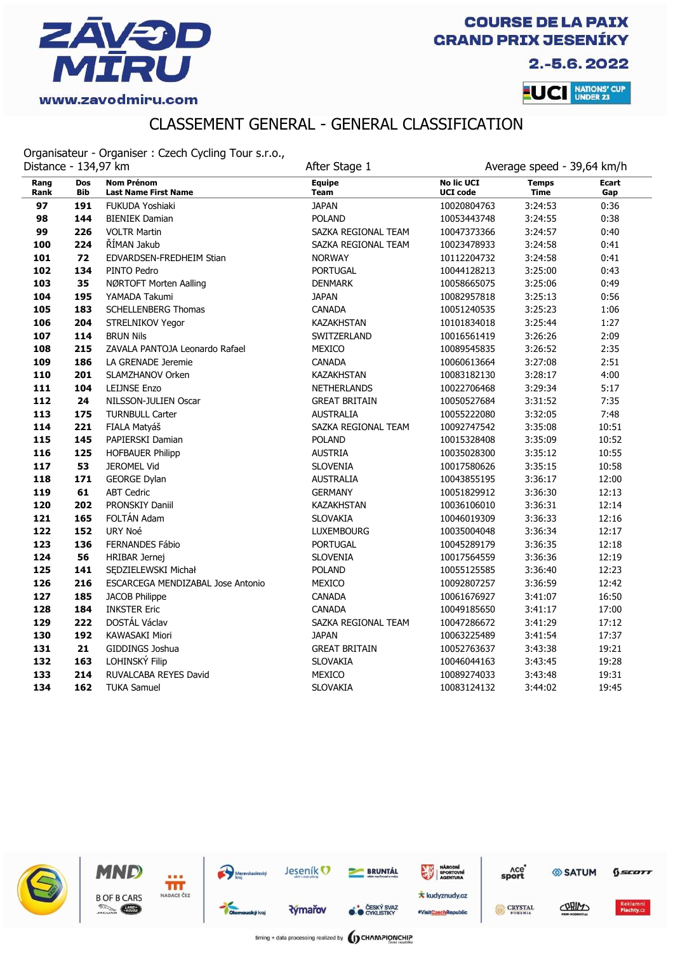

2.-5.6.2022

**LUCI** NATIONS' CUP

# CLASSEMENT GENERAL - GENERAL CLASSIFICATION

Organisateur - Organiser : Czech Cycling Tour s.r.o.,

| Distance - 134,97 km |            |                                                  | After Stage 1                | Average speed - 39,64 km/h           |                             |              |
|----------------------|------------|--------------------------------------------------|------------------------------|--------------------------------------|-----------------------------|--------------|
| Rang<br>Rank         | Dos<br>Bib | <b>Nom Prénom</b><br><b>Last Name First Name</b> | <b>Equipe</b><br><b>Team</b> | <b>No lic UCI</b><br><b>UCI code</b> | <b>Temps</b><br><b>Time</b> | Ecart<br>Gap |
| 97                   | 191        | FUKUDA Yoshiaki                                  | <b>JAPAN</b>                 | 10020804763                          | 3:24:53                     | 0:36         |
| 98                   | 144        | <b>BIENIEK Damian</b>                            | <b>POLAND</b>                | 10053443748                          | 3:24:55                     | 0:38         |
| 99                   | 226        | <b>VOLTR Martin</b>                              | SAZKA REGIONAL TEAM          | 10047373366                          | 3:24:57                     | 0:40         |
| 100                  | 224        | ŘÍMAN Jakub                                      | SAZKA REGIONAL TEAM          | 10023478933                          | 3:24:58                     | 0:41         |
| 101                  | 72         | EDVARDSEN-FREDHEIM Stian                         | <b>NORWAY</b>                | 10112204732                          | 3:24:58                     | 0:41         |
| 102                  | 134        | PINTO Pedro                                      | <b>PORTUGAL</b>              | 10044128213                          | 3:25:00                     | 0:43         |
| 103                  | 35         | NØRTOFT Morten Aalling                           | <b>DENMARK</b>               | 10058665075                          | 3:25:06                     | 0:49         |
| 104                  | 195        | YAMADA Takumi                                    | <b>JAPAN</b>                 | 10082957818                          | 3:25:13                     | 0:56         |
| 105                  | 183        | <b>SCHELLENBERG Thomas</b>                       | CANADA                       | 10051240535                          | 3:25:23                     | 1:06         |
| 106                  | 204        | <b>STRELNIKOV Yegor</b>                          | <b>KAZAKHSTAN</b>            | 10101834018                          | 3:25:44                     | 1:27         |
| 107                  | 114        | <b>BRUN Nils</b>                                 | SWITZERLAND                  | 10016561419                          | 3:26:26                     | 2:09         |
| 108                  | 215        | ZAVALA PANTOJA Leonardo Rafael                   | MEXICO                       | 10089545835                          | 3:26:52                     | 2:35         |
| 109                  | 186        | LA GRENADE Jeremie                               | <b>CANADA</b>                | 10060613664                          | 3:27:08                     | 2:51         |
| 110                  | 201        | SLAMZHANOV Orken                                 | <b>KAZAKHSTAN</b>            | 10083182130                          | 3:28:17                     | 4:00         |
| 111                  | 104        | <b>LEIJNSE Enzo</b>                              | <b>NETHERLANDS</b>           | 10022706468                          | 3:29:34                     | 5:17         |
| 112                  | 24         | NILSSON-JULIEN Oscar                             | <b>GREAT BRITAIN</b>         | 10050527684                          | 3:31:52                     | 7:35         |
| 113                  | 175        | <b>TURNBULL Carter</b>                           | <b>AUSTRALIA</b>             | 10055222080                          | 3:32:05                     | 7:48         |
| 114                  | 221        | FIALA Matyáš                                     | SAZKA REGIONAL TEAM          | 10092747542                          | 3:35:08                     | 10:51        |
| 115                  | 145        | PAPIERSKI Damian                                 | <b>POLAND</b>                | 10015328408                          | 3:35:09                     | 10:52        |
| 116                  | 125        | <b>HOFBAUER Philipp</b>                          | <b>AUSTRIA</b>               | 10035028300                          | 3:35:12                     | 10:55        |
| 117                  | 53         | <b>JEROMEL Vid</b>                               | <b>SLOVENIA</b>              | 10017580626                          | 3:35:15                     | 10:58        |
| 118                  | 171        | <b>GEORGE Dylan</b>                              | <b>AUSTRALIA</b>             | 10043855195                          | 3:36:17                     | 12:00        |
| 119                  | 61         | <b>ABT Cedric</b>                                | <b>GERMANY</b>               | 10051829912                          | 3:36:30                     | 12:13        |
| 120                  | 202        | PRONSKIY Daniil                                  | KAZAKHSTAN                   | 10036106010                          | 3:36:31                     | 12:14        |
| 121                  | 165        | FOLTÁN Adam                                      | <b>SLOVAKIA</b>              | 10046019309                          | 3:36:33                     | 12:16        |
| 122                  | 152        | URY Noé                                          | <b>LUXEMBOURG</b>            | 10035004048                          | 3:36:34                     | 12:17        |
| 123                  | 136        | FERNANDES Fábio                                  | <b>PORTUGAL</b>              | 10045289179                          | 3:36:35                     | 12:18        |
| 124                  | 56         | HRIBAR Jernej                                    | <b>SLOVENIA</b>              | 10017564559                          | 3:36:36                     | 12:19        |
| 125                  | 141        | SEDZIELEWSKI Michał                              | <b>POLAND</b>                | 10055125585                          | 3:36:40                     | 12:23        |
| 126                  | 216        | ESCARCEGA MENDIZABAL Jose Antonio                | MEXICO                       | 10092807257                          | 3:36:59                     | 12:42        |
| 127                  | 185        | <b>JACOB Philippe</b>                            | CANADA                       | 10061676927                          | 3:41:07                     | 16:50        |
| 128                  | 184        | <b>INKSTER Eric</b>                              | <b>CANADA</b>                | 10049185650                          | 3:41:17                     | 17:00        |
| 129                  | 222        | DOSTÁL Václav                                    | SAZKA REGIONAL TEAM          | 10047286672                          | 3:41:29                     | 17:12        |
| 130                  | 192        | KAWASAKI Miori                                   | <b>JAPAN</b>                 | 10063225489                          | 3:41:54                     | 17:37        |
| 131                  | 21         | GIDDINGS Joshua                                  | <b>GREAT BRITAIN</b>         | 10052763637                          | 3:43:38                     | 19:21        |
| 132                  | 163        | LOHINSKÝ Filip                                   | <b>SLOVAKIA</b>              | 10046044163                          | 3:43:45                     | 19:28        |
| 133                  | 214        | RUVALCABA REYES David                            | MEXICO                       | 10089274033                          | 3:43:48                     | 19:31        |
| 134                  | 162        | <b>TUKA Samuel</b>                               | <b>SLOVAKIA</b>              | 10083124132                          | 3:44:02                     | 19:45        |





MND



**Rýmařov** 



**O ČESKÝ SVAZ** 

#VisitCzechRepublic





 $6$ sco $rr$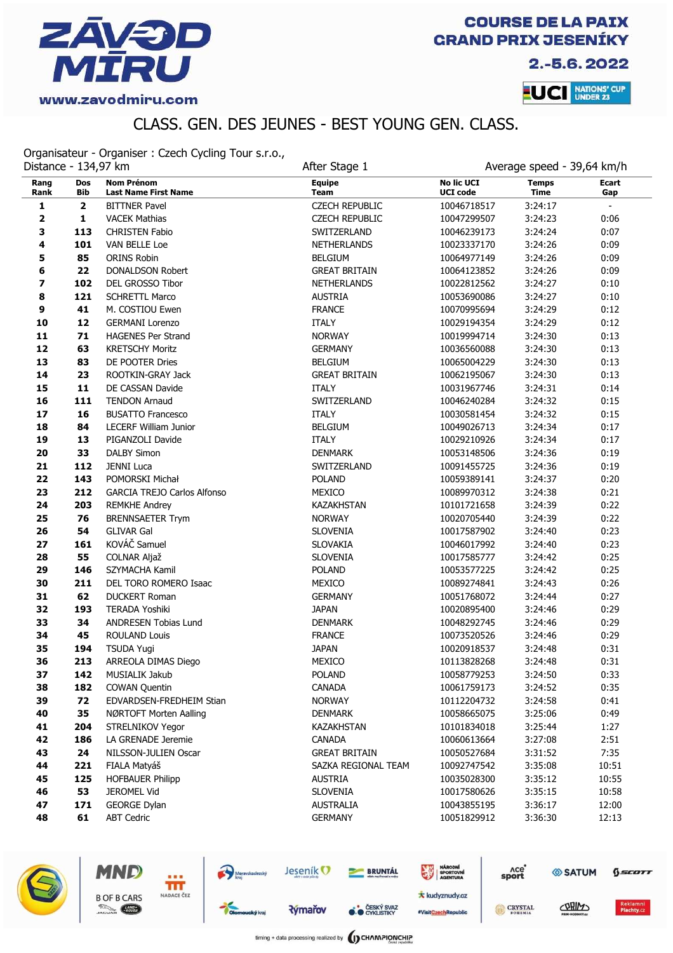

2.-5.6.2022

**LUCI** NATIONS' CUP

# CLASS. GEN. DES JEUNES - BEST YOUNG GEN. CLASS.

Organisateur - Organiser : Czech Cycling Tour s.r.o.,

|              | Distance - 134,97 km |                                                  | After Stage 1                |                                      | Average speed - 39,64 km/h  |                |  |
|--------------|----------------------|--------------------------------------------------|------------------------------|--------------------------------------|-----------------------------|----------------|--|
| Rang<br>Rank | Dos<br><b>Bib</b>    | <b>Nom Prénom</b><br><b>Last Name First Name</b> | <b>Equipe</b><br><b>Team</b> | <b>No lic UCI</b><br><b>UCI code</b> | <b>Temps</b><br><b>Time</b> | Ecart<br>Gap   |  |
| 1            | $\mathbf 2$          | <b>BITTNER Pavel</b>                             | <b>CZECH REPUBLIC</b>        | 10046718517                          | 3:24:17                     | $\blacksquare$ |  |
| 2            | $\mathbf{1}$         | <b>VACEK Mathias</b>                             | <b>CZECH REPUBLIC</b>        | 10047299507                          | 3:24:23                     | 0:06           |  |
| 3            | 113                  | CHRISTEN Fabio                                   | SWITZERLAND                  | 10046239173                          | 3:24:24                     | 0:07           |  |
| 4            | 101                  | VAN BELLE Loe                                    | NETHERLANDS                  | 10023337170                          | 3:24:26                     | 0:09           |  |
| 5            | 85                   | ORINS Robin                                      | <b>BELGIUM</b>               | 10064977149                          | 3:24:26                     | 0:09           |  |
| 6            | 22                   | <b>DONALDSON Robert</b>                          | <b>GREAT BRITAIN</b>         | 10064123852                          | 3:24:26                     | 0:09           |  |
| 7            | 102                  | <b>DEL GROSSO Tibor</b>                          | <b>NETHERLANDS</b>           | 10022812562                          | 3:24:27                     | 0:10           |  |
| 8            | 121                  | <b>SCHRETTL Marco</b>                            | <b>AUSTRIA</b>               | 10053690086                          | 3:24:27                     | 0:10           |  |
| 9            | 41                   | M. COSTIOU Ewen                                  | <b>FRANCE</b>                | 10070995694                          | 3:24:29                     | 0:12           |  |
| 10           | 12                   | <b>GERMANI Lorenzo</b>                           | <b>ITALY</b>                 | 10029194354                          | 3:24:29                     | 0:12           |  |
| 11           | 71                   | <b>HAGENES Per Strand</b>                        | <b>NORWAY</b>                | 10019994714                          | 3:24:30                     | 0:13           |  |
| 12           | 63                   | <b>KRETSCHY Moritz</b>                           | <b>GERMANY</b>               | 10036560088                          | 3:24:30                     | 0:13           |  |
| 13           | 83                   | DE POOTER Dries                                  | <b>BELGIUM</b>               | 10065004229                          | 3:24:30                     | 0:13           |  |
| 14           | 23                   | ROOTKIN-GRAY Jack                                | <b>GREAT BRITAIN</b>         | 10062195067                          | 3:24:30                     | 0:13           |  |
| 15           | 11                   | DE CASSAN Davide                                 | <b>ITALY</b>                 | 10031967746                          | 3:24:31                     | 0:14           |  |
| 16           | 111                  | <b>TENDON Arnaud</b>                             | SWITZERLAND                  | 10046240284                          | 3:24:32                     | 0:15           |  |
| 17           | 16                   | <b>BUSATTO Francesco</b>                         | <b>ITALY</b>                 | 10030581454                          | 3:24:32                     | 0:15           |  |
| 18           | 84                   | <b>LECERF William Junior</b>                     | <b>BELGIUM</b>               | 10049026713                          | 3:24:34                     | 0:17           |  |
| 19           | 13                   | PIGANZOLI Davide                                 | <b>ITALY</b>                 | 10029210926                          | 3:24:34                     | 0:17           |  |
| 20           | 33                   | <b>DALBY Simon</b>                               | <b>DENMARK</b>               | 10053148506                          | 3:24:36                     | 0:19           |  |
| 21           | 112                  | JENNI Luca                                       | SWITZERLAND                  | 10091455725                          | 3:24:36                     | 0:19           |  |
| 22           | 143                  | POMORSKI Michał                                  | <b>POLAND</b>                | 10059389141                          | 3:24:37                     | 0:20           |  |
| 23           | 212                  | GARCIA TREJO Carlos Alfonso                      | MEXICO                       | 10089970312                          | 3:24:38                     | 0:21           |  |
| 24           | 203                  | <b>REMKHE Andrey</b>                             | <b>KAZAKHSTAN</b>            | 10101721658                          | 3:24:39                     | 0:22           |  |
| 25           | 76                   | <b>BRENNSAETER Trym</b>                          | <b>NORWAY</b>                | 10020705440                          | 3:24:39                     | 0:22           |  |
| 26           | 54                   | <b>GLIVAR Gal</b>                                | <b>SLOVENIA</b>              | 10017587902                          | 3:24:40                     | 0:23           |  |
| 27           | 161                  | KOVÁČ Samuel                                     | <b>SLOVAKIA</b>              | 10046017992                          | 3:24:40                     | 0:23           |  |
| 28           | 55                   | COLNAR Aljaž                                     | <b>SLOVENIA</b>              | 10017585777                          | 3:24:42                     | 0:25           |  |
| 29           | 146                  | SZYMACHA Kamil                                   | <b>POLAND</b>                | 10053577225                          | 3:24:42                     | 0:25           |  |
| 30           | 211                  | DEL TORO ROMERO Isaac                            | MEXICO                       | 10089274841                          | 3:24:43                     | 0:26           |  |
| 31           | 62                   | <b>DUCKERT Roman</b>                             | <b>GERMANY</b>               | 10051768072                          | 3:24:44                     | 0:27           |  |
| 32           | 193                  | <b>TERADA Yoshiki</b>                            | <b>JAPAN</b>                 | 10020895400                          | 3:24:46                     | 0:29           |  |
| 33           | 34                   | <b>ANDRESEN Tobias Lund</b>                      | <b>DENMARK</b>               | 10048292745                          | 3:24:46                     | 0:29           |  |
| 34           | 45                   | <b>ROULAND Louis</b>                             | <b>FRANCE</b>                | 10073520526                          | 3:24:46                     | 0:29           |  |
| 35           | 194                  | <b>TSUDA Yugi</b>                                | <b>JAPAN</b>                 | 10020918537                          | 3:24:48                     | 0:31           |  |
| 36           | 213                  | ARREOLA DIMAS Diego                              | MEXICO                       | 10113828268                          | 3:24:48                     | 0:31           |  |
| 37           | 142                  | MUSIALIK Jakub                                   | <b>POLAND</b>                | 10058779253                          | 3:24:50                     | 0:33           |  |
| 38           | 182                  | <b>COWAN Quentin</b>                             | CANADA                       | 10061759173                          | 3:24:52                     | 0:35           |  |
| 39           | 72                   | EDVARDSEN-FREDHEIM Stian                         | <b>NORWAY</b>                | 10112204732                          | 3:24:58                     | 0:41           |  |
| 40           | 35                   | NØRTOFT Morten Aalling                           | <b>DENMARK</b>               | 10058665075                          | 3:25:06                     | 0:49           |  |
| 41           | 204                  | STRELNIKOV Yegor                                 | KAZAKHSTAN                   | 10101834018                          | 3:25:44                     | 1:27           |  |
| 42           | 186                  | LA GRENADE Jeremie                               | <b>CANADA</b>                | 10060613664                          | 3:27:08                     | 2:51           |  |
| 43           | 24                   | NILSSON-JULIEN Oscar                             | <b>GREAT BRITAIN</b>         | 10050527684                          | 3:31:52                     | 7:35           |  |
| 44           | 221                  | FIALA Matyáš                                     | SAZKA REGIONAL TEAM          | 10092747542                          | 3:35:08                     | 10:51          |  |
| 45           | 125                  | <b>HOFBAUER Philipp</b>                          | <b>AUSTRIA</b>               | 10035028300                          | 3:35:12                     | 10:55          |  |
| 46           | 53                   | JEROMEL Vid                                      | <b>SLOVENIA</b>              | 10017580626                          | 3:35:15                     | 10:58          |  |
| 47           | 171                  | <b>GEORGE Dylan</b>                              | <b>AUSTRALIA</b>             | 10043855195                          | 3:36:17                     | 12:00          |  |
| 48           | 61                   | <b>ABT Cedric</b>                                | <b>GERMANY</b>               | 10051829912                          | 3:36:30                     | 12:13          |  |



MND

**B OF B CARS** 

**County** 

Ħř NADACE ČEZ

**Rýmařov** 

Moravskoslezský

timing + data processing realized by **(I) CHAMPIONCHIP** 

**BRUNTÁL** 

**O ČESKÝ SVAZ** 

NÁRODNÍ<br>SPORTOVNÍ

**\*** kudyznudy.cz

#VisitCzechRepublic

Ace<sup>o</sup><br>sport

CRYSTAL

SATUM

CORIN

*<u>SCOTT</u>* 

Jeseník<sup>O</sup>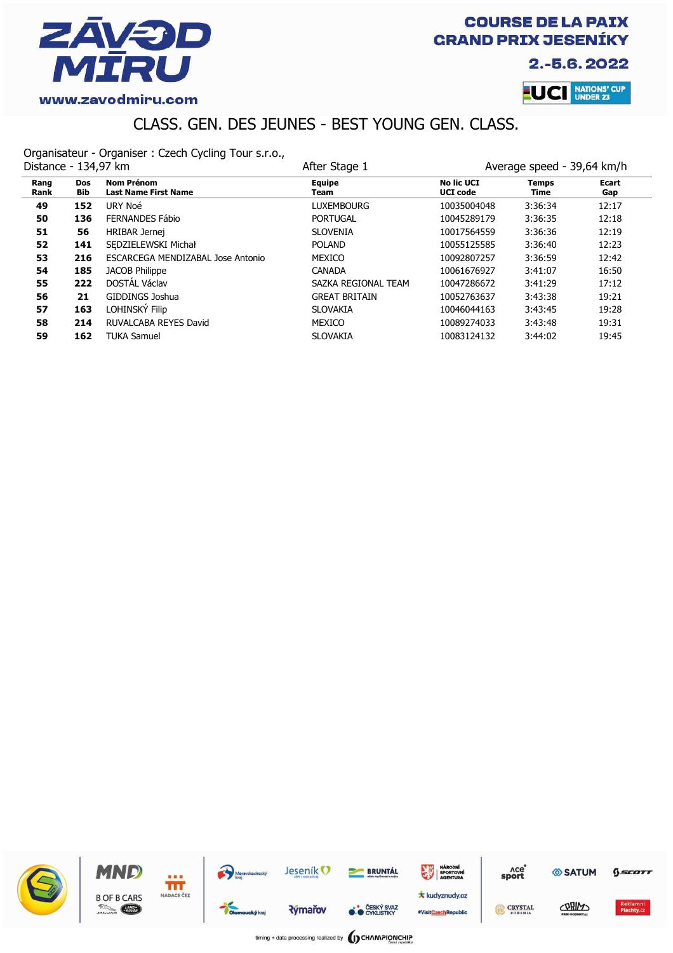

2.-5.6.2022



# CLASS. GEN. DES JEUNES - BEST YOUNG GEN. CLASS.

Organisateur - Organiser : Czech Cycling Tour s.r.o.,

| Distance - 134,97 km |                          |                                                  | After Stage 1         |                                      | Average speed - 39,64 km/h |              |  |
|----------------------|--------------------------|--------------------------------------------------|-----------------------|--------------------------------------|----------------------------|--------------|--|
| Rang<br>Rank         | <b>Dos</b><br><b>Bib</b> | <b>Nom Prénom</b><br><b>Last Name First Name</b> | <b>Equipe</b><br>Team | <b>No lic UCI</b><br><b>UCI</b> code | Temps<br>Time              | Ecart<br>Gap |  |
| 49                   | 152                      | URY Noé                                          | Luxembourg            | 10035004048                          | 3:36:34                    | 12:17        |  |
| 50                   | 136                      | FERNANDES Fábio                                  | <b>PORTUGAL</b>       | 10045289179                          | 3:36:35                    | 12:18        |  |
| 51                   | 56                       | HRIBAR Jernej                                    | <b>SLOVENIA</b>       | 10017564559                          | 3:36:36                    | 12:19        |  |
| 52                   | 141                      | SEDZIELEWSKI Michał                              | <b>POLAND</b>         | 10055125585                          | 3:36:40                    | 12:23        |  |
| 53                   | 216                      | <b>ESCARCEGA MENDIZABAL Jose Antonio</b>         | <b>MEXICO</b>         | 10092807257                          | 3:36:59                    | 12:42        |  |
| 54                   | 185                      | <b>JACOB Philippe</b>                            | <b>CANADA</b>         | 10061676927                          | 3:41:07                    | 16:50        |  |
| 55                   | 222                      | DOSTÁL Václav                                    | SAZKA REGIONAL TEAM   | 10047286672                          | 3:41:29                    | 17:12        |  |
| 56                   | 21                       | GIDDINGS Joshua                                  | <b>GREAT BRITAIN</b>  | 10052763637                          | 3:43:38                    | 19:21        |  |
| 57                   | 163                      | LOHINSKÝ Filip                                   | <b>SLOVAKIA</b>       | 10046044163                          | 3:43:45                    | 19:28        |  |
| 58                   | 214                      | RUVALCABA REYES David                            | <b>MEXICO</b>         | 10089274033                          | 3:43:48                    | 19:31        |  |
| 59                   | 162                      | <b>TUKA Samuel</b>                               | <b>SLOVAKIA</b>       | 10083124132                          | 3:44:02                    | 19:45        |  |

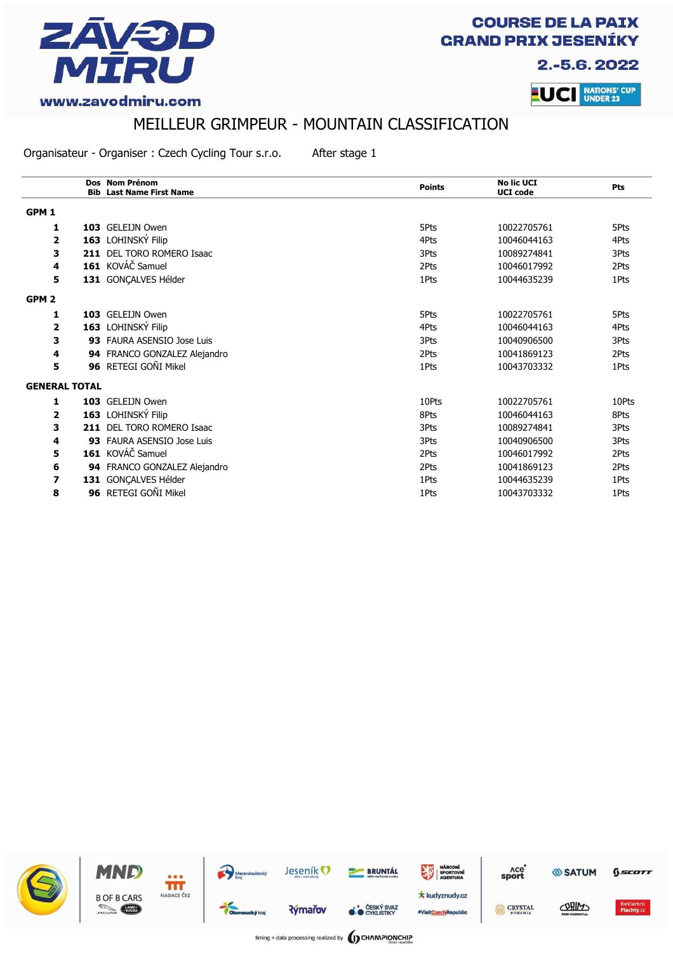

2.-5.6.2022



#### www.zavodmiru.com

# MEILLEUR GRIMPEUR - MOUNTAIN CLASSIFICATION

Organisateur - Organiser : Czech Cycling Tour s.r.o. After stage 1

|                  |                      | Dos Nom Prénom<br><b>Bib Last Name First Name</b> | <b>Points</b> | <b>No lic UCI</b><br><b>UCI</b> code | Pts   |
|------------------|----------------------|---------------------------------------------------|---------------|--------------------------------------|-------|
| GPM <sub>1</sub> |                      |                                                   |               |                                      |       |
| 1                |                      | 103 GELEIJN Owen                                  | 5Pts          | 10022705761                          | 5Pts  |
| 2                |                      | 163 LOHINSKÝ Filip                                | 4Pts          | 10046044163                          | 4Pts  |
| 3                |                      | 211 DEL TORO ROMERO Isaac                         | 3Pts          | 10089274841                          | 3Pts  |
| 4                |                      | 161 KOVÁČ Samuel                                  | 2Pts          | 10046017992                          | 2Pts  |
| 5                |                      | 131 GONÇALVES Hélder                              | 1Pts          | 10044635239                          | 1Pts  |
| GPM <sub>2</sub> |                      |                                                   |               |                                      |       |
| 1                |                      | 103 GELEIJN Owen                                  | 5Pts          | 10022705761                          | 5Pts  |
| 2                |                      | 163 LOHINSKÝ Filip                                | 4Pts          | 10046044163                          | 4Pts  |
| 3                |                      | 93 FAURA ASENSIO Jose Luis                        | 3Pts          | 10040906500                          | 3Pts  |
| 4                |                      | 94 FRANCO GONZALEZ Alejandro                      | 2Pts          | 10041869123                          | 2Pts  |
| 5                |                      | 96 RETEGI GOÑI Mikel                              | 1Pts          | 10043703332                          | 1Pts  |
|                  | <b>GENERAL TOTAL</b> |                                                   |               |                                      |       |
| 1                |                      | 103 GELEIJN Owen                                  | 10Pts         | 10022705761                          | 10Pts |
| 2                |                      | 163 LOHINSKÝ Filip                                | 8Pts          | 10046044163                          | 8Pts  |
| 3                |                      | 211 DEL TORO ROMERO Isaac                         | 3Pts          | 10089274841                          | 3Pts  |
| 4                |                      | 93 FAURA ASENSIO Jose Luis                        | 3Pts          | 10040906500                          | 3Pts  |
| 5                |                      | 161 KOVÁČ Samuel                                  | 2Pts          | 10046017992                          | 2Pts  |
| 6                |                      | 94 FRANCO GONZALEZ Alejandro                      | 2Pts          | 10041869123                          | 2Pts  |
| 7                |                      | 131 GONÇALVES Hélder                              | 1Pts          | 10044635239                          | 1Pts  |
| 8                |                      | 96 RETEGI GOÑI Mikel                              | 1Pts          | 10043703332                          | 1Pts  |

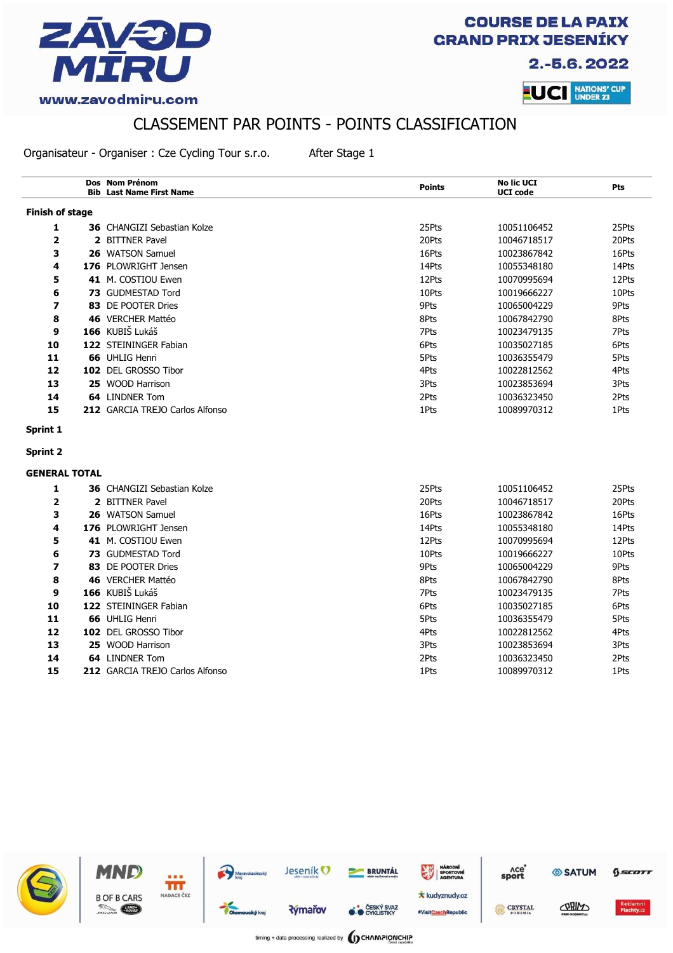

2.-5.6.2022



#### CLASSEMENT PAR POINTS - POINTS CLASSIFICATION

Organisateur - Organiser : Cze Cycling Tour s.r.o. After Stage 1

**Dos Nom Prénom Bib** Last Name First Name **Last Name First Name Points No lic UCI No lic UCI**<br> **UCI** code<br> **Pts Finish of stage 1 36** CHANGIZI Sebastian Kolze 25Pts 25Pts 25Pts 25Pts 25Pts 10051106452 **2 2** BITTNER Pavel **20Pts 20Pts 20Pts 20Pts 20Pts 20Pts 20Pts 20Pts 20Pts 3 26** WATSON Samuel 16Pts 10023867842 16Pts **4 176** PLOWRIGHT Jensen 14Pts 10055348180 14Pts **5 41** M. COSTIOU Ewen 12Pts 10070995694 12Pts 10070995694 12Pts **6 73** GUDMESTAD Tord 10Pts 10Pts 10019666227 10Pts **7 83** DE POOTER Dries 9Pts 10065004229 9Pts **8 46** VERCHER Mattéo **8Pts** 8Pts 10067842790 8Pts **9 166** KUBIŠ Lukáš 7Pts 10023479135 7Pts **10 122** STEININGER Fabian 6Pts 6Pts 6Pts 6Pts 10035027185 6Pts **11 66** UHLIG Henri 5Pts 10036355479 5Pts **12 102** DEL GROSSO Tibor **10022812562** 4Pts 4Pts 10022812562 4Pts **13 25** WOOD Harrison 3Pts 10023853694 3Pts **14 64** LINDNER Tom 2Pts 10036323450 2Pts **15 212** GARCIA TREJO Carlos Alfonso 10089970312 1Pts 10089970312 1Pts **Sprint 1 Sprint 2 GENERAL TOTAL 1 36** CHANGIZI Sebastian Kolze 25Pts 25Pts 25Pts 25Pts 10051106452 25Pts **2 2** BITTNER Pavel **20Pts 20Pts 20Pts 20Pts 20Pts 20Pts 20Pts 20Pts 20Pts 3 26** WATSON Samuel 16Pts 10023867842 16Pts **4 176** PLOWRIGHT Jensen 14Pts 10055348180 14Pts **5 41** M. COSTIOU Ewen **12Pts** 12Pts 10070995694 12Pts **6 73** GUDMESTAD Tord 10Pts 10Pts 10019666227 10Pts **7 83** DE POOTER Dries 89Pts 10065004229 9Pts 9Pts 10065004229 9Pts **8 46** VERCHER Mattéo **8Pts** 8Pts 10067842790 8Pts **9 166** KUBIŠ Lukáš 7Pts 10023479135 7Pts **10 122** STEININGER Fabian 6Pts 6Pts 6Pts 6Pts 10035027185 6Pts 6Pts **11 66** UHLIG Henri 5Pts 10036355479 5Pts **12 102** DEL GROSSO Tibor **10022812562** 4Pts 4Pts 10022812562 4Pts **13 25** WOOD Harrison 3Pts 10023853694 3Pts **14 64** LINDNER Tom 2Pts 10036323450 2Pts **15 212** GARCIA TREJO Carlos Alfonso 10089970312 1Pts 10089970312 1Pts

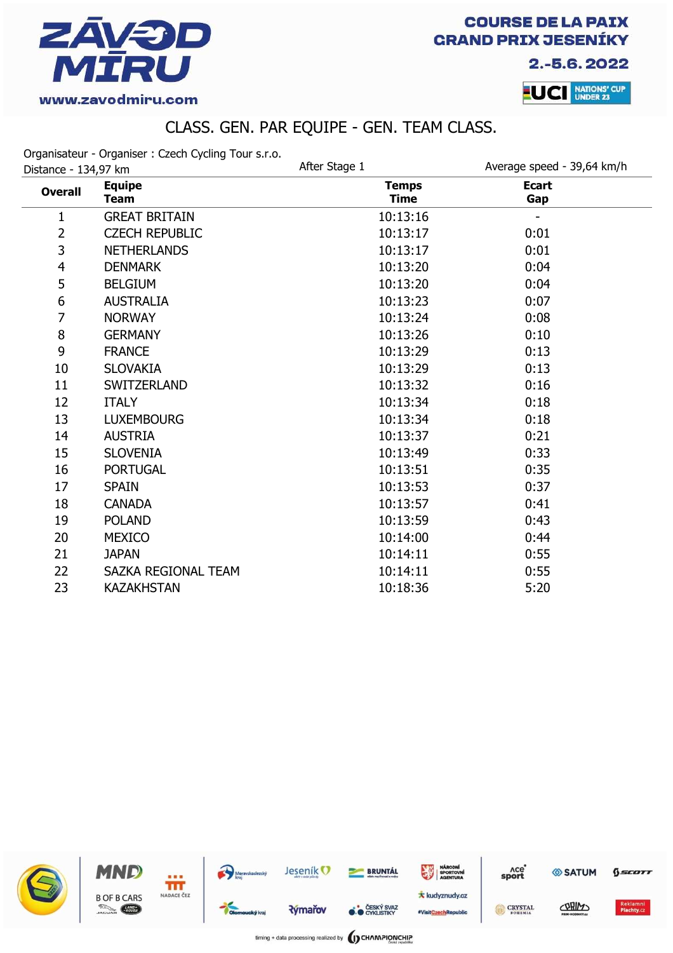

2.-5.6.2022



# CLASS. GEN. PAR EQUIPE - GEN. TEAM CLASS.

Organisateur - Organiser : Czech Cycling Tour s.r.o.

| Distance - 134,97 km |                              | After Stage 1               | Average speed - 39,64 km/h |  |
|----------------------|------------------------------|-----------------------------|----------------------------|--|
| <b>Overall</b>       | <b>Equipe</b><br><b>Team</b> | <b>Temps</b><br><b>Time</b> | <b>Ecart</b><br>Gap        |  |
| 1                    | <b>GREAT BRITAIN</b>         | 10:13:16                    |                            |  |
| $\overline{2}$       | <b>CZECH REPUBLIC</b>        | 10:13:17                    | 0:01                       |  |
| 3                    | <b>NETHERLANDS</b>           | 10:13:17                    | 0:01                       |  |
| $\overline{4}$       | <b>DENMARK</b>               | 10:13:20                    | 0:04                       |  |
| 5                    | <b>BELGIUM</b>               | 10:13:20                    | 0:04                       |  |
| 6                    | <b>AUSTRALIA</b>             | 10:13:23                    | 0:07                       |  |
| 7                    | <b>NORWAY</b>                | 10:13:24                    | 0:08                       |  |
| $\bf 8$              | <b>GERMANY</b>               | 10:13:26                    | 0:10                       |  |
| 9                    | <b>FRANCE</b>                | 10:13:29                    | 0:13                       |  |
| 10                   | <b>SLOVAKIA</b>              | 10:13:29                    | 0:13                       |  |
| 11                   | <b>SWITZERLAND</b>           | 10:13:32                    | 0:16                       |  |
| 12                   | <b>ITALY</b>                 | 10:13:34                    | 0:18                       |  |
| 13                   | <b>LUXEMBOURG</b>            | 10:13:34                    | 0:18                       |  |
| 14                   | <b>AUSTRIA</b>               | 10:13:37                    | 0:21                       |  |
| 15                   | <b>SLOVENIA</b>              | 10:13:49                    | 0:33                       |  |
| 16                   | <b>PORTUGAL</b>              | 10:13:51                    | 0:35                       |  |
| 17                   | <b>SPAIN</b>                 | 10:13:53                    | 0:37                       |  |
| 18                   | <b>CANADA</b>                | 10:13:57                    | 0:41                       |  |
| 19                   | <b>POLAND</b>                | 10:13:59                    | 0:43                       |  |
| 20                   | <b>MEXICO</b>                | 10:14:00                    | 0:44                       |  |
| 21                   | <b>JAPAN</b>                 | 10:14:11                    | 0:55                       |  |
| 22                   | SAZKA REGIONAL TEAM          | 10:14:11                    | 0:55                       |  |
| 23                   | <b>KAZAKHSTAN</b>            | 10:18:36                    | 5:20                       |  |

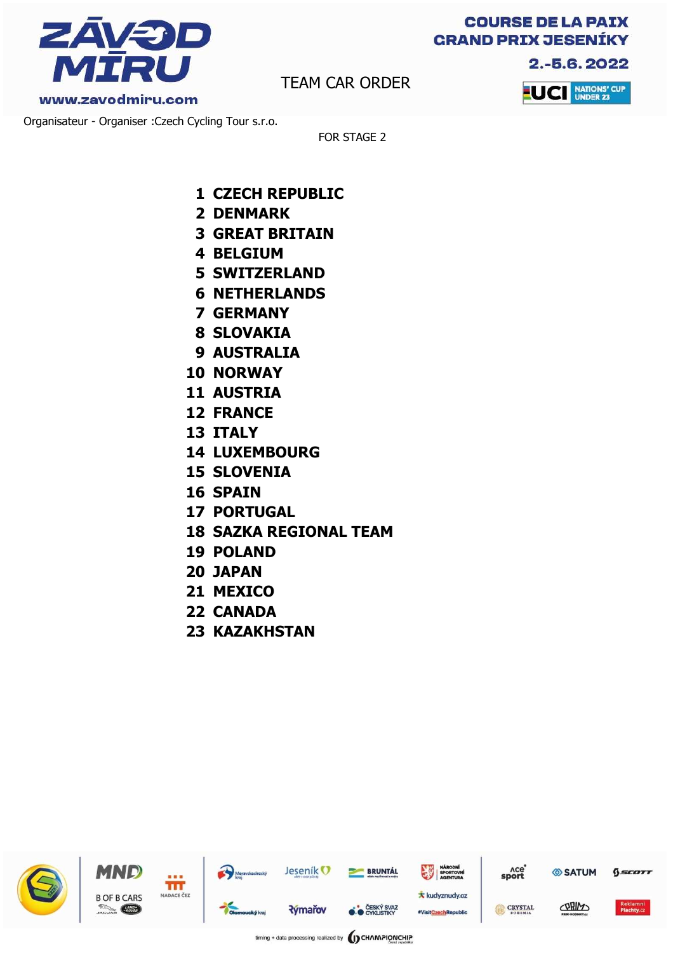

2.-5.6.2022

www.zavodmiru.com

TEAM CAR ORDER



Organisateur - Organiser :Czech Cycling Tour s.r.o.

FOR STAGE 2

- **1 CZECH REPUBLIC**
- **2 DENMARK**
- **3 GREAT BRITAIN**
- **4 BELGIUM**
- **5 SWITZERLAND**
- **6 NETHERLANDS**
- **7 GERMANY**
- **8 SLOVAKIA**
- **9 AUSTRALIA**
- **10 NORWAY**
- **11 AUSTRIA**
- **12 FRANCE**
- **13 ITALY**
- **14 LUXEMBOURG**
- **15 SLOVENIA**
- **16 SPAIN**
- **17 PORTUGAL**
- **18 SAZKA REGIONAL TEAM**
- **19 POLAND**
- **20 JAPAN**
- **21 MEXICO**
- **22 CANADA**
- **23 KAZAKHSTAN**